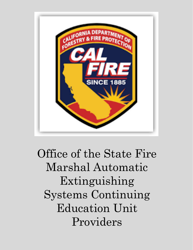

Office of the State Fire Marshal Automatic Extinguishing Systems Continuing Education Unit Providers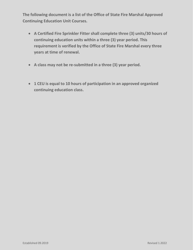**The following document is a list of the Office of State Fire Marshal Approved Continuing Education Unit Courses.**

- **A Certified Fire Sprinkler Fitter shall complete three (3) units/30 hours of continuing education units within a three (3) year period. This requirement is verified by the Office of State Fire Marshal every three years at time of renewal.**
- **A class may not be re-submitted in a three (3) year period.**
- **1 CEU is equal to 10 hours of participation in an approved organized continuing education class.**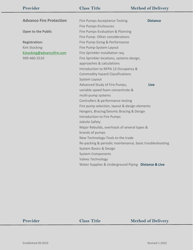| Provider                       | <b>Class Title</b>                                       | <b>Method of Delivery</b> |
|--------------------------------|----------------------------------------------------------|---------------------------|
|                                |                                                          |                           |
| <b>Advanco Fire Protection</b> | Fire Pumps-Acceptance Testing                            | <b>Distance</b>           |
|                                | <b>Fire Pumps-Enclosures</b>                             |                           |
| <b>Open to the Public</b>      | Fire Pumps-Evaluation & Planning                         |                           |
|                                | Fire Pump-Other considerations                           |                           |
| <b>Registration:</b>           | Fire Pump-Sizing & Performance                           |                           |
| <b>Kim Stocking</b>            | Fire Pump-System Layout                                  |                           |
| Kstocking@advancofire.com      | Fire Sprinkler installation req.                         |                           |
| 909-460-2510                   | Fire Sprinkler locations, systems design,                |                           |
|                                | approaches & calculations                                |                           |
|                                | Introduction to NFPA 13 Occupancy &                      |                           |
|                                | <b>Commodity hazard Classifications</b>                  |                           |
|                                | System Layout                                            |                           |
|                                | Advanced Study of Fire Pumps,                            | <b>Live</b>               |
|                                | variable speed foam concentrate &                        |                           |
|                                | multi-pump systems                                       |                           |
|                                | Controllers & performance testing                        |                           |
|                                | Fire pump selection, layout & design elements            |                           |
|                                | Hangers, Bracing/Seismic Bracing & Design                |                           |
|                                | <b>Introduction to Fire Pumps</b>                        |                           |
|                                | Jobsite Safety                                           |                           |
|                                | Major Rebuilds, overhauls of several types &             |                           |
|                                | brands of pumps                                          |                           |
|                                | New Technology-Tools to the trade                        |                           |
|                                | Re-packing & periodic maintenance, basic troubleshooting |                           |
|                                | System Basics & Design                                   |                           |
|                                | <b>System Components</b>                                 |                           |
|                                | <b>Valves Technology</b>                                 |                           |
|                                |                                                          |                           |
|                                | Water Supplies & Underground Piping Distance & Live      |                           |
|                                |                                                          |                           |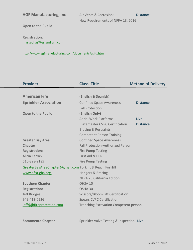AGF Manufacturing, Inc Air Vents & Corrosion: **Distance** New Requirements of NFPA 13, 2016

**Open to the Public**

**Registration:** [marketing@testandrain.com](mailto:marketing@testandrain.com)

[http://www.agfmanufacturing.com/documents/agfu.html](https://gcc02.safelinks.protection.outlook.com/?url=http%3A%2F%2Fwww.agfmanufacturing.com%2Fdocuments%2Fagfu.html&data=04%7C01%7CKemiko.Tolon%40fire.ca.gov%7Cf65fdc80d550447c24a408d88d7fef2f%7C447a4ca05405454dad68c98a520261f8%7C1%7C1%7C637414927914230907%7CUnknown%7CTWFpbGZsb3d8eyJWIjoiMC4wLjAwMDAiLCJQIjoiV2luMzIiLCJBTiI6Ik1haWwiLCJXVCI6Mn0%3D%7C2000&sdata=%2FJv2SJHuNQkZ3tV1JPAO8N4wM8kEDp9nERbxHjhjYKA%3D&reserved=0)

| <b>Provider</b>                                           | <b>Class Title</b>                           | <b>Method of Delivery</b> |
|-----------------------------------------------------------|----------------------------------------------|---------------------------|
|                                                           |                                              |                           |
| <b>American Fire</b>                                      | (English & Spanish)                          |                           |
| <b>Sprinkler Association</b>                              | <b>Confined Space Awareness</b>              | <b>Distance</b>           |
|                                                           | <b>Fall Protection</b>                       |                           |
| <b>Open to the Public</b>                                 | (English Only)                               |                           |
|                                                           | <b>Aerial Work Platforms</b>                 | <b>Live</b>               |
|                                                           | <b>Blazemaster CVPC Certification</b>        | <b>Distance</b>           |
|                                                           | <b>Bracing &amp; Restraints</b>              |                           |
|                                                           | <b>Competent Person Training</b>             |                           |
| <b>Greater Bay Area</b>                                   | <b>Confined Space Awareness</b>              |                           |
| <b>Chapter</b>                                            | <b>Fall Protection-Authorized Person</b>     |                           |
| <b>Registration:</b>                                      | <b>Fire Pump Testing</b>                     |                           |
| Alicia Karrick                                            | First Aid & CPR                              |                           |
| 510-398-9185                                              | <b>Fire Pump Testing</b>                     |                           |
| GreaterBayAreaChapter@gmail.com Forklift & Reach Forklift |                                              |                           |
| www.afsa-gba.org                                          | Hangers & Bracing                            |                           |
|                                                           | NFPA 25 California Edition                   |                           |
| <b>Southern Chapter</b>                                   | OHSA 10                                      |                           |
| <b>Registration:</b>                                      | OSHA 30                                      |                           |
| Jeff Bridges                                              | Scissors/Bloom Lift Certification            |                           |
| 949-413-0526                                              | <b>Spears CVPC Certification</b>             |                           |
| jeff@jbfireprotection.com                                 | <b>Trenching Excavation Competent person</b> |                           |
|                                                           |                                              |                           |
|                                                           |                                              |                           |
| <b>Sacramento Chapter</b>                                 | Sprinkler Valve Testing & Inspection Live    |                           |
|                                                           |                                              |                           |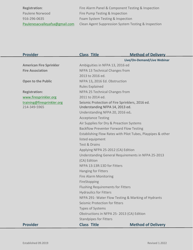| <b>Registration:</b>           | Fire Alarm Panel & Component Testing & Inspection   |
|--------------------------------|-----------------------------------------------------|
| Paulene Norwood                | Fire Pump Testing & Inspection                      |
| 916-296-0635                   | Foam System Testing & Inspection                    |
| Paulenesacvalleyafsa@gmail.com | Clean Agent Suppression System Testing & Inspection |

| <b>Provider</b>                | <b>Class Title</b>                                          | <b>Method of Delivery</b>   |
|--------------------------------|-------------------------------------------------------------|-----------------------------|
|                                |                                                             | Live/On-Demand/Live Webinar |
| <b>American Fire Sprinkler</b> | Ambiguities in NFPA 13, 2016 ed                             |                             |
| <b>Fire Association</b>        | NFPA 13 Technical Changes from                              |                             |
|                                | 2013 to 2016 ed.                                            |                             |
| <b>Open to the Public</b>      | NFPA 13, 2016 Ed. Obstruction                               |                             |
|                                | <b>Rules Explained</b>                                      |                             |
| <b>Registration:</b>           | NFPA 25 Technical Changes from                              |                             |
| www.firesprinkler.org          | 2011 to 2014 ed.                                            |                             |
| training@firesprinkler.org     | Seismic Protection of Fire Sprinklers, 2016 ed.             |                             |
| 214-349-5965                   | Understanding NFPA 14, 2013 ed.                             |                             |
|                                | Understanding NFPA 20, 2016 ed.                             |                             |
|                                | <b>Acceptance Testing</b>                                   |                             |
|                                | Air Supplies for Dry & Preaction Systems                    |                             |
|                                | <b>Backflow Preventer Forward Flow Testing</b>              |                             |
|                                | Establishing Flow Rates with Pilot Tubes, Playpipes & other |                             |
|                                | listed equipment                                            |                             |
|                                | <b>Test &amp; Drains</b>                                    |                             |
|                                | Applying NFPA 25-2012 (CA) Edition                          |                             |
|                                | Understanding General Requirements in NFPA 25-2013          |                             |
|                                | (CA) Edition                                                |                             |
|                                | NFPA 13:13R:13D for Fitters                                 |                             |
|                                | <b>Hanging for Fitters</b>                                  |                             |
|                                | <b>Fire Alarm Monitoring</b>                                |                             |
|                                | FireStopping                                                |                             |
|                                | <b>Flushing Requirements for Fitters</b>                    |                             |
|                                | <b>Hydraulics for Fitters</b>                               |                             |
|                                | NFPA 291- Water Flow Testing & Marking of Hydrants          |                             |
|                                | Seismic Protection for fitters                              |                             |
|                                | <b>Types of Systems</b>                                     |                             |
|                                | Obstructions in NFPA 25-2013 (CA) Edition                   |                             |
|                                | <b>Standpipes for Fitters</b>                               |                             |
| <b>Provider</b>                | <b>Class Title</b>                                          | <b>Method of Delivery</b>   |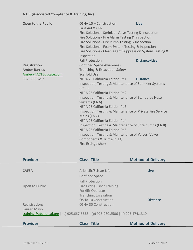| <b>Open to the Public</b> | OSHA 10 - Construction<br>First Aid & CPR<br>Fire Solutions - Sprinkler Valve Testing & Inspection<br>Fire Solutions - Fire Alarm Testing & Inspection<br>Fire Solutions - Fire Pump Testing & Inspection<br>Fire Solutions - Foam System Testing & Inspection<br>Fire Solutions - Clean Agent Suppression System Testing &<br>Inspection | Live                 |
|---------------------------|-------------------------------------------------------------------------------------------------------------------------------------------------------------------------------------------------------------------------------------------------------------------------------------------------------------------------------------------|----------------------|
|                           | <b>Fall Protection</b>                                                                                                                                                                                                                                                                                                                    | <b>Distance/Live</b> |
| <b>Registration:</b>      | <b>Confined Space Awareness</b>                                                                                                                                                                                                                                                                                                           |                      |
| <b>Amber Barrios</b>      | <b>Trenching &amp; Excavation Safety</b>                                                                                                                                                                                                                                                                                                  |                      |
| Amber@ACTEducate.com      | <b>Scaffold User</b>                                                                                                                                                                                                                                                                                                                      |                      |
| 562-833-9492              | NFPA 25 California Edition Pt.1                                                                                                                                                                                                                                                                                                           | <b>Distance</b>      |
|                           | Inspection, Testing & Maintenance of Sprinkler Systems<br>(Ch.5)                                                                                                                                                                                                                                                                          |                      |
|                           | NFPA 25 California Edition Pt.2                                                                                                                                                                                                                                                                                                           |                      |
|                           | Inspection, Testing & Maintenance of Standpipe Hose<br>Systems (Ch.6)                                                                                                                                                                                                                                                                     |                      |
|                           | NFPA 25 California Edition Pt.3                                                                                                                                                                                                                                                                                                           |                      |
|                           | Inspection, Testing & Maintenance of Private Fire Service                                                                                                                                                                                                                                                                                 |                      |
|                           | Mains (Ch.7)                                                                                                                                                                                                                                                                                                                              |                      |
|                           | NFPA 25 California Edition Pt.4                                                                                                                                                                                                                                                                                                           |                      |
|                           | Inspection, Testing & Maintenance of Sfire pumps (Ch.8)<br>NFPA 25 California Edition Pt.5                                                                                                                                                                                                                                                |                      |
|                           | Inspection, Testing & Maintenance of Valves, Valve                                                                                                                                                                                                                                                                                        |                      |
|                           | Components & Trim (Ch.13)                                                                                                                                                                                                                                                                                                                 |                      |
|                           |                                                                                                                                                                                                                                                                                                                                           |                      |
|                           | <b>Fire Extinguishers</b>                                                                                                                                                                                                                                                                                                                 |                      |

| <b>Provider</b>       | <b>Class Title</b>                                                              | <b>Method of Delivery</b> |
|-----------------------|---------------------------------------------------------------------------------|---------------------------|
|                       |                                                                                 |                           |
| <b>CAFSA</b>          | Ariel Lift/Scissor Lift                                                         | <b>Live</b>               |
|                       | <b>Confined Space</b>                                                           |                           |
|                       | <b>Fall Protection</b>                                                          |                           |
| <b>Open to Public</b> | Fire Extinguisher Training                                                      |                           |
|                       | <b>Forklift Operator</b>                                                        |                           |
|                       | <b>Trenching Excavation</b>                                                     |                           |
|                       | OSHA 10 Construction                                                            | <b>Distance</b>           |
| <b>Registration:</b>  | <b>OSHA 30 Construction</b>                                                     |                           |
| Lauren Mayo           |                                                                                 |                           |
|                       | training@abcnorcal.org   (c) 925.667.6558   (p) 925.960.8506   (f) 925.474.1310 |                           |
|                       |                                                                                 |                           |

| <b>Provider</b><br><b>Class Title</b> | <b>Method of Delivery</b> |
|---------------------------------------|---------------------------|
|---------------------------------------|---------------------------|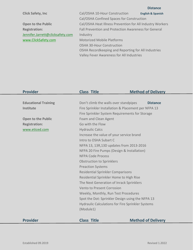**Distance**

| <b>Click Safety, Inc.</b>        | Cal/OSHA 10-Hour Construction                             | <b>English &amp; Spanish</b> |
|----------------------------------|-----------------------------------------------------------|------------------------------|
|                                  | Cal/OSHA Confined Spaces for Construction                 |                              |
| <b>Open to the Public</b>        | Cal/OSHA Heat Illness Prevention for All Industry Workers |                              |
| <b>Registration:</b>             | Fall Prevention and Protection Awareness for General      |                              |
| Jennifer.Jarrett@clicksafety.com | Industry                                                  |                              |
| www.ClickSafety.com              | <b>Motorized Mobile Platforms</b>                         |                              |
|                                  | <b>OSHA 30-Hour Construction</b>                          |                              |
|                                  | OSHA Recordkeeping and Reporting for All Industries       |                              |
|                                  | Valley Fever Awareness for All Industries                 |                              |

| <b>Provider</b>             | <b>Class Title</b>                                  | <b>Method of Delivery</b> |
|-----------------------------|-----------------------------------------------------|---------------------------|
|                             |                                                     |                           |
| <b>Educational Training</b> | Don't climb the walls over standpipes               | <b>Distance</b>           |
| <b>Institute</b>            | Fire Sprinkler Installation & Placement per NFPA 13 |                           |
|                             | Fire Sprinkler System Requirements for Storage      |                           |
| <b>Open to the Public</b>   | Foam and Clean Agent                                |                           |
| <b>Registration:</b>        | Go with the Flow                                    |                           |
| www.eticed.com              | <b>Hydraulic Calcs</b>                              |                           |
|                             | Increase the value of your service brand            |                           |
|                             | Intro to OSHA Subart C                              |                           |
|                             | NFPA 13, 13R, 13D updates from 2013-2016            |                           |
|                             | NFPA 20 Fire Pumps (Design & Installation)          |                           |
|                             | <b>NFPA Code Process</b>                            |                           |
|                             | <b>Obstruction to Sprinklers</b>                    |                           |
|                             | <b>Preaction Systems</b>                            |                           |
|                             | <b>Residential Sprinkler Comparisons</b>            |                           |
|                             | Residential Sprinkler Home to High Rise             |                           |
|                             | The Next Generation of Inrack Sprinklers            |                           |
|                             | Vento to Present Corrosion                          |                           |
|                             | Weekly, Monthly, Run Test Procedures                |                           |
|                             | Spot the Dot: Sprinkler Design using the NFPA 13    |                           |
|                             | Hydraulic Calculations for Fire Sprinkler Systems   |                           |
|                             | (Module1)                                           |                           |
|                             |                                                     |                           |
| <b>Provider</b>             | <b>Class Title</b>                                  | <b>Method of Delivery</b> |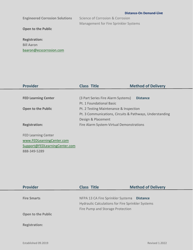| <b>Engineered Corrosion Solutions</b> | Science of Corrosion & Corrosion      |
|---------------------------------------|---------------------------------------|
|                                       | Management for Fire Sprinkler Systems |
| <b>Open to the Public</b>             |                                       |
|                                       |                                       |
| <b>Registration:</b>                  |                                       |
| <b>Bill Aaron</b>                     |                                       |
| baaron@ecscorrosion.com               |                                       |
|                                       |                                       |

| <b>Provider</b>               | <b>Class Title</b>                                       | <b>Method of Delivery</b> |
|-------------------------------|----------------------------------------------------------|---------------------------|
|                               |                                                          |                           |
| <b>FED Learning Center</b>    | (3 Part Series Fire Alarm Systems)                       | <b>Distance</b>           |
|                               | Pt. 1 Foundational Basic                                 |                           |
| <b>Open to the Public</b>     | Pt. 2 Testing Maintenance & Inspection                   |                           |
|                               | Pt. 3 Communications, Circuits & Pathways, Understanding |                           |
|                               | Design & Placement                                       |                           |
| <b>Registration:</b>          | Fire Alarm System-Virtual Demonstrations                 |                           |
|                               |                                                          |                           |
| <b>FED Learning Center</b>    |                                                          |                           |
| www.FEDLearningCenter.com     |                                                          |                           |
| Support@FEDLearningCenter.com |                                                          |                           |

| <b>Provider</b>           | <b>Class Title</b>                                       | <b>Method of Delivery</b> |
|---------------------------|----------------------------------------------------------|---------------------------|
|                           |                                                          |                           |
| <b>Fire Smarts</b>        | NFPA 13 CA Fire Sprinkler Systems                        | <b>Distance</b>           |
|                           | <b>Hydraulic Calculations for Fire Sprinkler Systems</b> |                           |
|                           | Fire Pump and Storage Protection                         |                           |
| <b>Open to the Public</b> |                                                          |                           |
|                           |                                                          |                           |
| <b>Registration:</b>      |                                                          |                           |
|                           |                                                          |                           |
|                           |                                                          |                           |

888-349-5289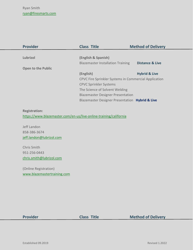| <b>Provider</b>           | <b>Class Title</b>                                    | <b>Method of Delivery</b>  |
|---------------------------|-------------------------------------------------------|----------------------------|
|                           |                                                       |                            |
| Lubrizol                  | (English & Spanish)                                   |                            |
|                           | <b>Blazemaster Installation Training</b>              | <b>Distance &amp; Live</b> |
| <b>Open to the Public</b> |                                                       |                            |
|                           | (English)                                             | <b>Hybrid &amp; Live</b>   |
|                           | CPVC Fire Sprinkler Systems in Commercial Application |                            |
|                           | <b>CPVC Sprinkler Systems</b>                         |                            |
|                           | The Science of Solvent Welding                        |                            |
|                           | <b>Blazemaster Designer Presentation</b>              |                            |
|                           | Blazemaster Designer Presentation Hybrid & Live       |                            |

## **Registration:**

<https://www.blazemaster.com/en-us/live-online-training/california>

Jeff Landon 858-386-3674 [jeff.landon@lubrizol.com](mailto:jeff.landon@lubrizol.com)

Chris Smith 951-256-0443 [chris.smith@lubrizol.com](mailto:chris.smith@lubrizol.com)

(Online Registration) [www.blazemastertraining.com](http://www.blazemastertraining.com/)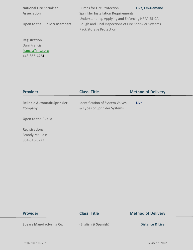| <b>National Fire Sprinkler</b>          | <b>Pumps for Fire Protection</b>                      | Live, On-Demand |
|-----------------------------------------|-------------------------------------------------------|-----------------|
| <b>Association</b>                      | <b>Sprinkler Installation Requirements</b>            |                 |
|                                         | Understanding, Applying and Enforcing NFPA 25-CA      |                 |
| <b>Open to the Public &amp; Members</b> | Rough and Final Inspections of Fire Sprinkler Systems |                 |
|                                         | <b>Rack Storage Protection</b>                        |                 |
|                                         |                                                       |                 |
| <b>Registration</b>                     |                                                       |                 |
| Dani Francis:                           |                                                       |                 |
| francis@nfsa.org                        |                                                       |                 |

443-863-4424

| <b>Provider</b>                                               | <b>Class Title</b>                                                     | <b>Method of Delivery</b> |
|---------------------------------------------------------------|------------------------------------------------------------------------|---------------------------|
| <b>Reliable Automatic Sprinkler</b><br>Company                | <b>Identification of System Valves</b><br>& Types of Sprinkler Systems | Live                      |
| <b>Open to the Public</b>                                     |                                                                        |                           |
| <b>Registration:</b><br><b>Brandy Mauldin</b><br>864-843-5227 |                                                                        |                           |

| <b>Provider</b>                 | <b>Class Title</b>  | <b>Method of Delivery</b>  |
|---------------------------------|---------------------|----------------------------|
| <b>Spears Manufacturing Co.</b> | (English & Spanish) | <b>Distance &amp; Live</b> |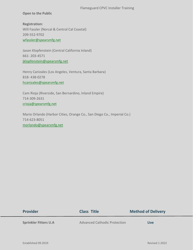## Flameguard CPVC Installer Training

## **Open to the Public**

**Registration:** Will Fassler (Norcal & Central Cal Coastal) 209-552-9702 [wfassler@spearsmfg.net](mailto:wfassler@spearsmfg.net)

Jason Klopfenstein (Central California Inland) 661- 203-4571 [jklopfenstein@spearsmfg.net](mailto:jklopfenstein@spearsmfg.net)

Henry Canizales (Los Angeles, Ventura, Santa Barbara) 818- 438-0278 [hcanizales@spearsmfg.net](mailto:hcanizales@spearsmfg.net)

Cam Rioja (Riverside, San Bernardino, Inland Empire) 714-309-2631 [crioja@spearsmfg.net](mailto:crioja@spearsmfg.net)

Mario Orlando (Harbor Cities, Orange Co., San Diego Co., Imperial Co.) 714-623-8051 [morlando@spearsmfg.net](mailto:morlando@spearsmfg.net)

| <b>Provider</b>              | <b>Class Title</b>                  | <b>Method of Delivery</b> |
|------------------------------|-------------------------------------|---------------------------|
| <b>Sprinkler Fitters U.A</b> | <b>Advanced Cathodic Protection</b> | Live                      |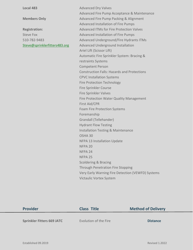**Local 483 Advanced Dry Valves Advanced Dry Valves** Advanced Fire Pump Acceptance & Maintenance **Members Only Advanced Fire Pump Packing & Alignment** Advanced Installation of Fire Pumps **Registration:** Advanced ITMs for Fire Protection Valves Steve Fox **Advanced Installation of Fire Pumps** 510-782-9483 Advanced Underground/Fire Hydrants ITMs [Steve@sprinklerfitters483.org](mailto:Steve@sprinklerfitters483.org) Advanced Underground Installation Ariel Lift (Scissor Lift) Automatic Fire Sprinkler System: Bracing & restraints Systems Competent Person Construction Falls: Hazards and Protections CPVC Installation Systems Fire Protection Technology Fire Sprinkler Course Fire Sprinkler Valves Fire Protection Water Quality Management First Aid/CPR Foam Fire Protection Systems Foremanship Grandall (Tellehander) Hydrant Flow Testing Installation Testing & Maintenance OSHA 30 NFPA 13 Installation Update NFPA 20 NFPA 24 NFPA 25 Scoldering & Bracing Through Penetration Fire Stopping Very Early Warning Fire Detection (VEWFD) Systems Victaulic Vortex System

| <b>Provider</b>                   | <b>Class Title</b>    | <b>Method of Delivery</b> |
|-----------------------------------|-----------------------|---------------------------|
| <b>Sprinkler Fitters 669 JATC</b> | Evolution of the Fire | <b>Distance</b>           |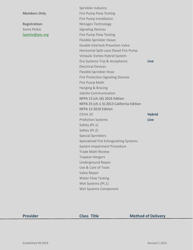Sonia Pettie **Signaling Devices** Signaling Devices

Sprinkler Industry **Members Only Fire Pump Flow Testing** Fire Pump Installation **Registration:** Nitrogen Technology [Spettie@jatc.org](mailto:Spettie@jatc.org) Fire Pump Flow Testing Flexible Sprinkler Hoses Double Interlock Preaction Valve Horizontal Split-case Diesel Fire Pump Victaulic Vortex Hybrid System Dry Systems-Trip & Acceptance **Live** Electrical Devices Flexible Sprinkler Hose Fire Protection Signaling Devices Fire Pump Math Hanging & Bracing Jobsite Communication NFPA 13 (ch.16) 2016 Edition NFPA 25 (ch.1-5) 2013 California Edition NFPA 13 2019 Edition OSHA 30 **Hybrid** PreAction Systems **Live** Safety (Pt.1) Safety (Pt.2) Special Sprinklers Specialized Fire Extinguishing Systems System Impairment Procedure Trade Math Review Trapeze Hangers Underground Repair Use & Care of Tools Valve Repair Water Flow Testing Wet Systems (Pt.1) Wet Systems Component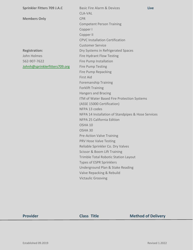**Members Only** CPR

John Holmes **Fire Hydrant Flow Testing** 562-907-7622 Fire Pump Installation [Johnh@sprinklerfitters709.org](mailto:Johnh@sprinklerfitters709.org) Fire Pump Testing

**Sprinkler Fitters 709 J.A.C** Basic Fire Alarm & Devices **Live** CLA-VAL Competent Person Training Copper I Copper II CPVC Installation Certification Customer Service **Registration:** Dry Systems in Refrigerated Spaces Fire Pump Repacking First Aid Foremanship Training Forklift Training Hangers and Bracing ITM of Water Based Fire Protection Systems (ASSE 15000 Certification) NFPA 13 codes NFPA 14 Installation of Standpipes & Hose Services NFPA 25 California Edition OSHA 10 OSHA 30 Pre-Action Valve Training PRV Hose Valve Testing Reliable Sprinkler Co. Dry Valves Scissor & Boom Lift Training Trimble Total Robotic Station Layout Types of ESPR Sprinklers Underground Plan & Stake Reading Valve Repacking & Rebuild Victaulic Grooving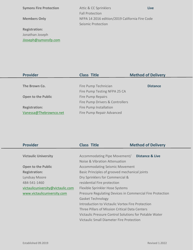**Symons Fire Protection Attic & CC Sprinklers Live** Fall Protection **Members Only** NFPA 14 2016 edition/2019 California Fire Code Seismic Protection

**Registration:** Jonathan Joseph [JJoseph@symonsfp.com](mailto:JJoseph@symonsfp.com)

| <b>Provider</b>           | <b>Class Title</b>              | <b>Method of Delivery</b> |
|---------------------------|---------------------------------|---------------------------|
|                           |                                 |                           |
| The Brown Co.             | Fire Pump Technician            | <b>Distance</b>           |
|                           | Fire Pump Testing NFPA 25 CA    |                           |
| <b>Open to the Public</b> | <b>Fire Pump Repairs</b>        |                           |
|                           | Fire Pump Drivers & Controllers |                           |
| <b>Registration:</b>      | Fire Pump Installation          |                           |
| Vanessa@Thebrownco.net    | Fire Pump Repair Advanced       |                           |

| <b>Provider</b>                   | <b>Class Title</b>                                        | <b>Method of Delivery</b> |
|-----------------------------------|-----------------------------------------------------------|---------------------------|
|                                   |                                                           |                           |
| <b>Victaulic University</b>       | Accommodating Pipe Movement/                              | Distance & Live           |
|                                   | Noise & Vibration Attenuation                             |                           |
| <b>Open to the Public</b>         | <b>Accommodating Seismic Movement</b>                     |                           |
| <b>Registration:</b>              | Basic Principles of grooved mechanical joints             |                           |
| Lyndsay Moore                     | Dry Sprinklers for Commercial &                           |                           |
| 484-541-1460                      | residential Fire protection                               |                           |
| victaulicuniversity@victaulic.com | Flexible Sprinkler Hose Systems                           |                           |
| www.victaulicuniversity.com       | Pressure Regulating Devices in Commercial Fire Protection |                           |
|                                   | <b>Gasket Technology</b>                                  |                           |
|                                   | Introduction to Victaulic Vortex Fire Protection          |                           |
|                                   | Three Pillars of Mission Critical Data Centers            |                           |
|                                   | Victaulic Pressure Control Solutions for Potable Water    |                           |
|                                   | Victaulic Small Diameter Fire Protection                  |                           |